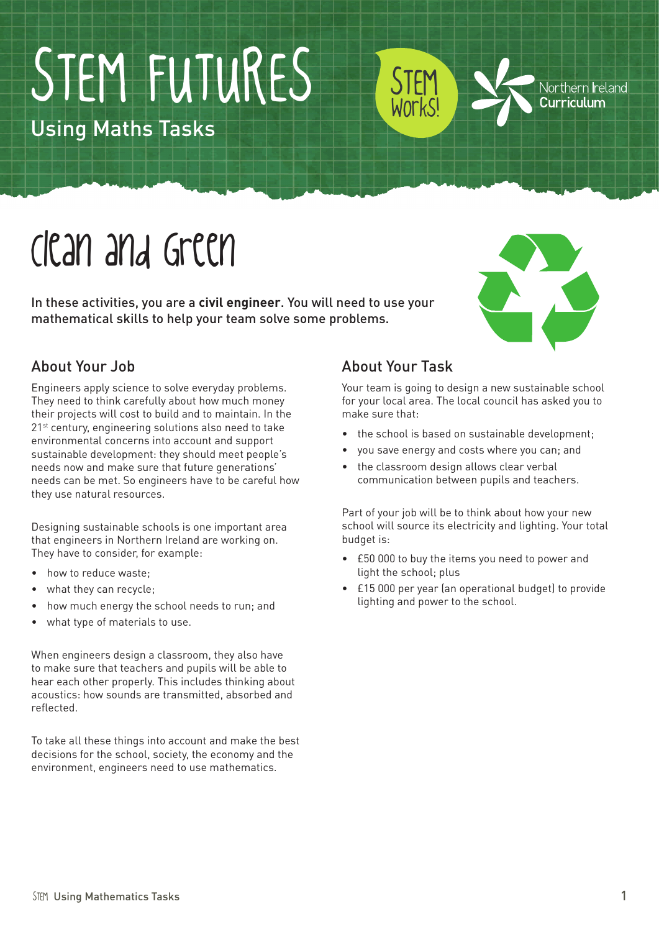# STEM FUTURES

Using Maths Tasks

## Clean and Green

In these activities, you are a **civil engineer**. You will need to use your mathematical skills to help your team solve some problems.



Northern Ireland Curriculum

### About Your Job

Engineers apply science to solve everyday problems. They need to think carefully about how much money their projects will cost to build and to maintain. In the 21<sup>st</sup> century, engineering solutions also need to take environmental concerns into account and support sustainable development: they should meet people's needs now and make sure that future generations' needs can be met. So engineers have to be careful how they use natural resources.

Designing sustainable schools is one important area that engineers in Northern Ireland are working on. They have to consider, for example:

- how to reduce waste:
- what they can recycle;
- how much energy the school needs to run; and
- what type of materials to use.

When engineers design a classroom, they also have to make sure that teachers and pupils will be able to hear each other properly. This includes thinking about acoustics: how sounds are transmitted, absorbed and reflected.

To take all these things into account and make the best decisions for the school, society, the economy and the environment, engineers need to use mathematics.

#### About Your Task

STEM

Works!

Your team is going to design a new sustainable school for your local area. The local council has asked you to make sure that:

- the school is based on sustainable development;
- you save energy and costs where you can; and
- the classroom design allows clear verbal communication between pupils and teachers.

Part of your job will be to think about how your new school will source its electricity and lighting. Your total budget is:

- • £50 000 to buy the items you need to power and light the school; plus
- • £15 000 per year (an operational budget) to provide lighting and power to the school.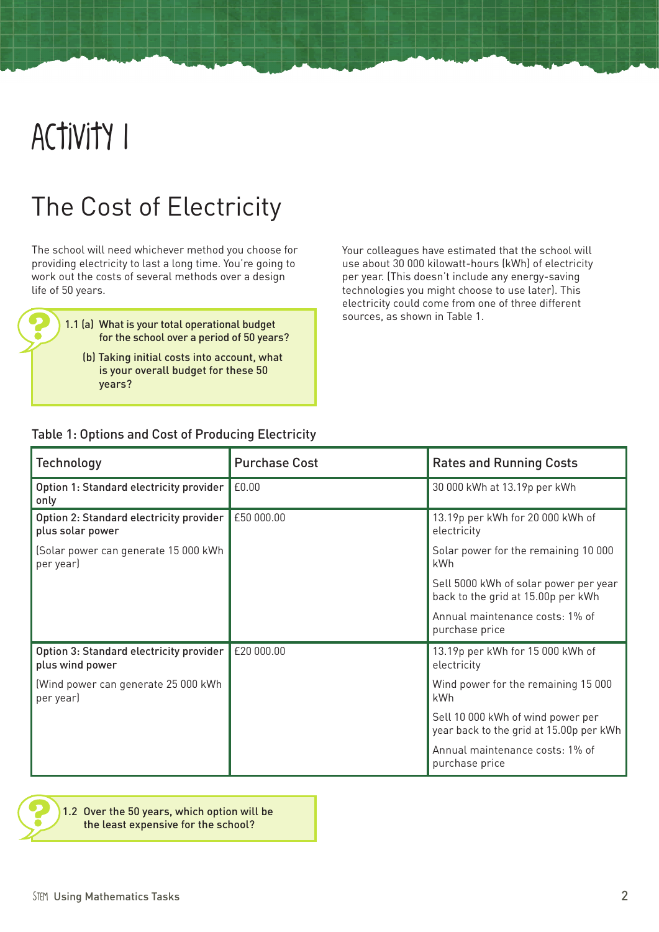### Activity 1

### The Cost of Electricity

The school will need whichever method you choose for providing electricity to last a long time. You're going to work out the costs of several methods over a design life of 50 years.

> 1.1 (a) What is your total operational budget sources, as shown in Table 1. for the school over a period of 50 years?

(b) Taking initial costs into account, what is your overall budget for these 50 years?

Your colleagues have estimated that the school will use about 30 000 kilowatt-hours (kWh) of electricity per year. (This doesn't include any energy-saving technologies you might choose to use later). This electricity could come from one of three different

#### Table 1: Options and Cost of Producing Electricity

| <b>Technology</b>                                           | <b>Purchase Cost</b> | <b>Rates and Running Costs</b>                                               |
|-------------------------------------------------------------|----------------------|------------------------------------------------------------------------------|
| Option 1: Standard electricity provider<br>only             | £0.00                | 30 000 kWh at 13.19p per kWh                                                 |
| Option 2: Standard electricity provider<br>plus solar power | £50 000.00           | 13.19p per kWh for 20 000 kWh of<br>electricity                              |
| (Solar power can generate 15 000 kWh<br>per year)           |                      | Solar power for the remaining 10 000<br>kWh                                  |
|                                                             |                      | Sell 5000 kWh of solar power per year<br>back to the grid at 15.00p per kWh  |
|                                                             |                      | Annual maintenance costs: 1% of<br>purchase price                            |
| Option 3: Standard electricity provider<br>plus wind power  | £20 000.00           | 13.19p per kWh for 15 000 kWh of<br>electricity                              |
| (Wind power can generate 25 000 kWh<br>per year)            |                      | Wind power for the remaining 15 000<br>kWh                                   |
|                                                             |                      | Sell 10 000 kWh of wind power per<br>year back to the grid at 15.00p per kWh |
|                                                             |                      | Annual maintenance costs: 1% of<br>purchase price                            |

1.2 Over the 50 years, which option will be the least expensive for the school?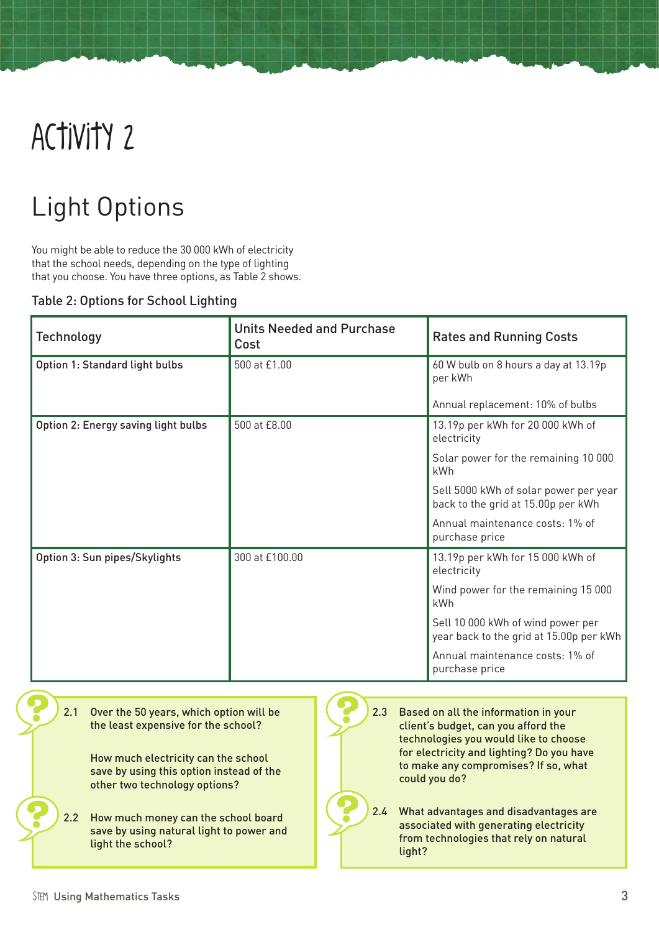### Activity 2

### Light Options

You might be able to reduce the 30 000 kWh of electricity that the school needs, depending on the type of lighting that you choose. You have three options, as Table 2 shows.

#### Table 2: Options for School Lighting

| <b>Technology</b>                   | <b>Units Needed and Purchase</b><br>Cost | <b>Rates and Running Costs</b>                                               |
|-------------------------------------|------------------------------------------|------------------------------------------------------------------------------|
| Option 1: Standard light bulbs      | 500 at £1.00                             | 60 W bulb on 8 hours a day at 13.19p<br>per kWh                              |
|                                     |                                          | Annual replacement: 10% of bulbs                                             |
| Option 2: Energy saving light bulbs | 500 at £8.00                             | 13.19p per kWh for 20 000 kWh of<br>electricity                              |
|                                     |                                          | Solar power for the remaining 10 000<br>kWh                                  |
|                                     |                                          | Sell 5000 kWh of solar power per year<br>back to the grid at 15.00p per kWh  |
|                                     |                                          | Annual maintenance costs: 1% of<br>purchase price                            |
| Option 3: Sun pipes/Skylights       | 300 at £100.00                           | 13.19p per kWh for 15 000 kWh of<br>electricity                              |
|                                     |                                          | Wind power for the remaining 15 000<br>kWh                                   |
|                                     |                                          | Sell 10 000 kWh of wind power per<br>year back to the grid at 15.00p per kWh |
|                                     |                                          | Annual maintenance costs: 1% of<br>purchase price                            |

2.1 Over the 50 years, which option will be the least expensive for the school?

> How much electricity can the school save by using this option instead of the other two technology options?

- 2.2 How much money can the school board save by using natural light to power and light the school?
- 2.3 Based on all the information in your client's budget, can you afford the technologies you would like to choose for electricity and lighting? Do you have to make any compromises? If so, what could you do? 2.4 What advantages and disadvantages are associated with generating electricity from technologies that rely on natural light?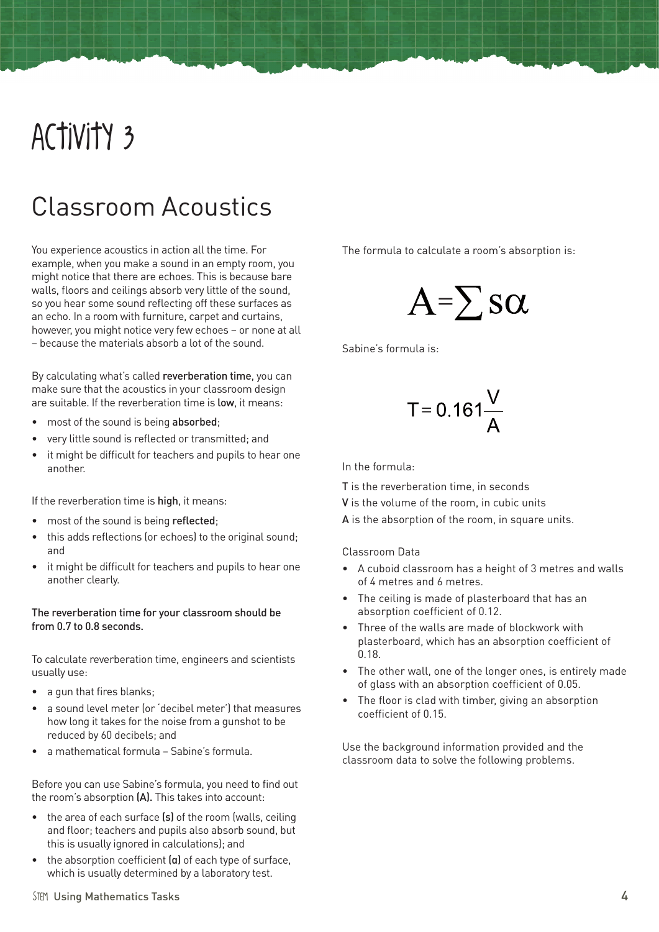### Activity 3

### Classroom Acoustics

You experience acoustics in action all the time. For example, when you make a sound in an empty room, you might notice that there are echoes. This is because bare walls, floors and ceilings absorb very little of the sound, so you hear some sound reflecting off these surfaces as an echo. In a room with furniture, carpet and curtains, however, you might notice very few echoes – or none at all – because the materials absorb a lot of the sound.

By calculating what's called reverberation time, you can make sure that the acoustics in your classroom design are suitable. If the reverberation time is low, it means:

- most of the sound is being absorbed:
- very little sound is reflected or transmitted; and
- it might be difficult for teachers and pupils to hear one another.

If the reverberation time is high, it means:

- most of the sound is being reflected;
- this adds reflections (or echoes) to the original sound; and
- • it might be difficult for teachers and pupils to hear one another clearly.

#### The reverberation time for your classroom should be from 0.7 to 0.8 seconds.

To calculate reverberation time, engineers and scientists usually use:

- a gun that fires blanks:
- a sound level meter (or 'decibel meter') that measures how long it takes for the noise from a gunshot to be reduced by 60 decibels; and
- • a mathematical formula Sabine's formula.

Before you can use Sabine's formula, you need to find out the room's absorption (A). This takes into account:

- the area of each surface  $(s)$  of the room (walls, ceiling and floor; teachers and pupils also absorb sound, but this is usually ignored in calculations); and
- the absorption coefficient (a) of each type of surface, which is usually determined by a laboratory test.

The formula to calculate a room's absorption is:

$$
A = \sum s \alpha
$$

Sabine's formula is:

$$
T = 0.161 \frac{V}{A}
$$

In the formula:

T is the reverberation time, in seconds

- V is the volume of the room, in cubic units
- A is the absorption of the room, in square units.

#### Classroom Data

- • A cuboid classroom has a height of 3 metres and walls of 4 metres and 6 metres.
- • The ceiling is made of plasterboard that has an absorption coefficient of 0.12.
- Three of the walls are made of blockwork with plasterboard, which has an absorption coefficient of 0.18.
- • The other wall, one of the longer ones, is entirely made of glass with an absorption coefficient of 0.05.
- The floor is clad with timber, giving an absorption coefficient of 0.15.

Use the background information provided and the classroom data to solve the following problems.